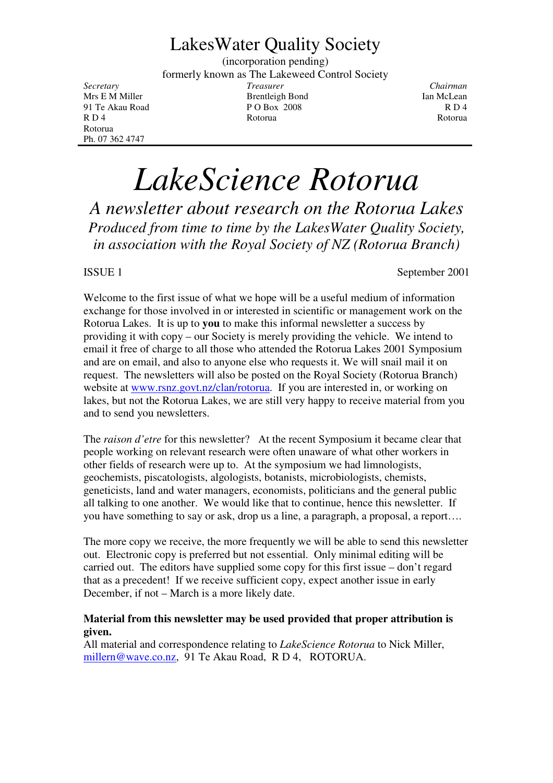## LakesWater Quality Society

(incorporation pending) formerly known as The Lakeweed Control Society *Secretary Treasurer Chairman* Mrs E M Miller **Brentleigh Bond** Ian McLean 91 Te Akau Road P O Box 2008 R D 4<br>R D 4 R D 4 R O 4 R O 4 R O 6 R O 6 R O 6 R O 6 R O 6 R O 6 R O 6 R O 6 R O 6 R O 6 R O 6 R O 6 R O 6 R O 6 R O R D 4 Rotorua Rotorua Rotorua Rotorua Rotorua Rotorua Rotorua Rotorua Rotorua Rotorua Rotorua Rotorua Rotorua

# *LakeScience Rotorua*

*A newsletter about research on the Rotorua Lakes Produced from time to time by the LakesWater Quality Society, in association with the Royal Society of NZ (Rotorua Branch)*

Rotorua Ph. 07 362 4747

ISSUE 1 September 2001

Welcome to the first issue of what we hope will be a useful medium of information exchange for those involved in or interested in scientific or management work on the Rotorua Lakes. It is up to **you** to make this informal newsletter a success by providing it with copy – our Society is merely providing the vehicle. We intend to email it free of charge to all those who attended the Rotorua Lakes 2001 Symposium and are on email, and also to anyone else who requests it. We will snail mail it on request. The newsletters will also be posted on the Royal Society (Rotorua Branch) website at www.rsnz.govt.nz/clan/rotorua. If you are interested in, or working on lakes, but not the Rotorua Lakes, we are still very happy to receive material from you and to send you newsletters.

The *raison d'etre* for this newsletter? At the recent Symposium it became clear that people working on relevant research were often unaware of what other workers in other fields of research were up to. At the symposium we had limnologists, geochemists, piscatologists, algologists, botanists, microbiologists, chemists, geneticists, land and water managers, economists, politicians and the general public all talking to one another. We would like that to continue, hence this newsletter. If you have something to say or ask, drop us a line, a paragraph, a proposal, a report….

The more copy we receive, the more frequently we will be able to send this newsletter out. Electronic copy is preferred but not essential. Only minimal editing will be carried out. The editors have supplied some copy for this first issue – don't regard that as a precedent! If we receive sufficient copy, expect another issue in early December, if not – March is a more likely date.

#### **Material from this newsletter may be used provided that proper attribution is given.**

All material and correspondence relating to *LakeScience Rotorua* to Nick Miller, millern@wave.co.nz, 91 Te Akau Road, R D 4, ROTORUA.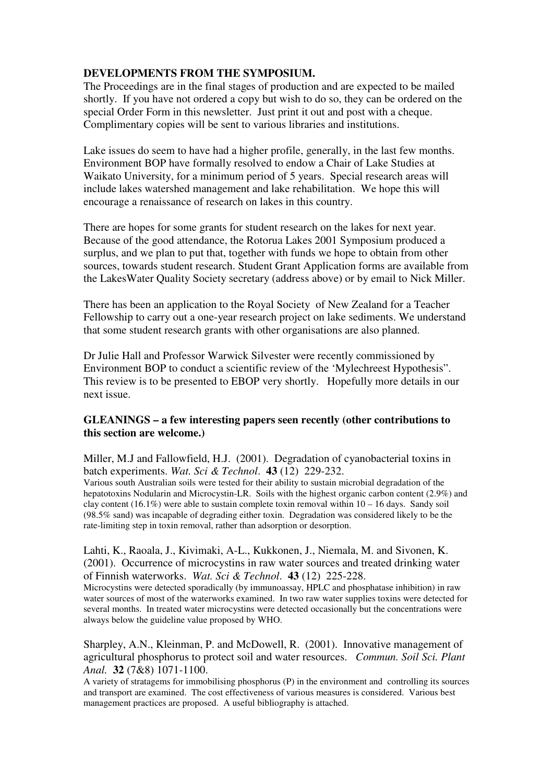#### **DEVELOPMENTS FROM THE SYMPOSIUM.**

The Proceedings are in the final stages of production and are expected to be mailed shortly. If you have not ordered a copy but wish to do so, they can be ordered on the special Order Form in this newsletter. Just print it out and post with a cheque. Complimentary copies will be sent to various libraries and institutions.

Lake issues do seem to have had a higher profile, generally, in the last few months. Environment BOP have formally resolved to endow a Chair of Lake Studies at Waikato University, for a minimum period of 5 years. Special research areas will include lakes watershed management and lake rehabilitation. We hope this will encourage a renaissance of research on lakes in this country.

There are hopes for some grants for student research on the lakes for next year. Because of the good attendance, the Rotorua Lakes 2001 Symposium produced a surplus, and we plan to put that, together with funds we hope to obtain from other sources, towards student research. Student Grant Application forms are available from the LakesWater Quality Society secretary (address above) or by email to Nick Miller.

There has been an application to the Royal Society of New Zealand for a Teacher Fellowship to carry out a one-year research project on lake sediments. We understand that some student research grants with other organisations are also planned.

Dr Julie Hall and Professor Warwick Silvester were recently commissioned by Environment BOP to conduct a scientific review of the 'Mylechreest Hypothesis". This review is to be presented to EBOP very shortly. Hopefully more details in our next issue.

#### **GLEANINGS – a few interesting papers seen recently (other contributions to this section are welcome.)**

Miller, M.J and Fallowfield, H.J. (2001). Degradation of cyanobacterial toxins in batch experiments. *Wat. Sci & Technol*. **43** (12) 229-232.

Various south Australian soils were tested for their ability to sustain microbial degradation of the hepatotoxins Nodularin and Microcystin-LR. Soils with the highest organic carbon content (2.9%) and clay content (16.1%) were able to sustain complete toxin removal within  $10 - 16$  days. Sandy soil (98.5% sand) was incapable of degrading either toxin. Degradation was considered likely to be the rate-limiting step in toxin removal, rather than adsorption or desorption.

#### Lahti, K., Raoala, J., Kivimaki, A-L., Kukkonen, J., Niemala, M. and Sivonen, K. (2001). Occurrence of microcystins in raw water sources and treated drinking water of Finnish waterworks. *Wat. Sci & Technol*. **43** (12) 225-228.

Microcystins were detected sporadically (by immunoassay, HPLC and phosphatase inhibition) in raw water sources of most of the waterworks examined. In two raw water supplies toxins were detected for several months. In treated water microcystins were detected occasionally but the concentrations were always below the guideline value proposed by WHO.

Sharpley, A.N., Kleinman, P. and McDowell, R. (2001). Innovative management of agricultural phosphorus to protect soil and water resources. *Commun. Soil Sci. Plant Anal.* **32** (7&8) 1071-1100.

A variety of stratagems for immobilising phosphorus (P) in the environment and controlling its sources and transport are examined. The cost effectiveness of various measures is considered. Various best management practices are proposed. A useful bibliography is attached.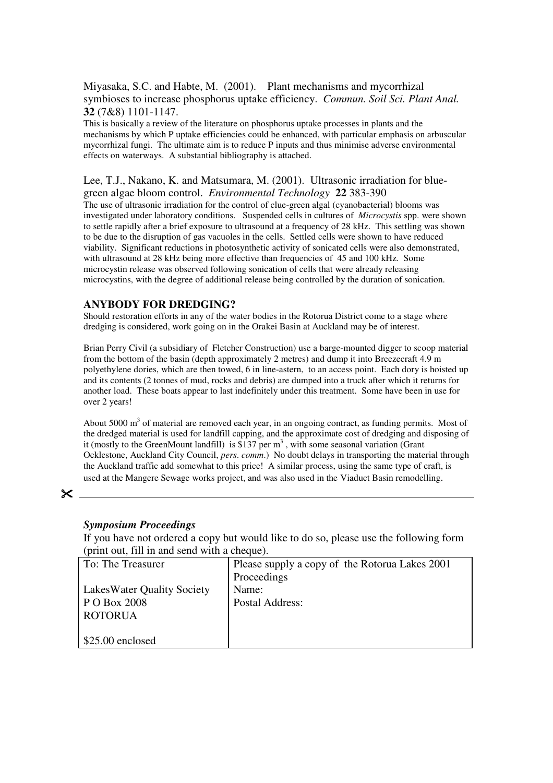Miyasaka, S.C. and Habte, M. (2001). Plant mechanisms and mycorrhizal symbioses to increase phosphorus uptake efficiency. *Commun. Soil Sci. Plant Anal.* **32** (7&8) 1101-1147.

This is basically a review of the literature on phosphorus uptake processes in plants and the mechanisms by which P uptake efficiencies could be enhanced, with particular emphasis on arbuscular mycorrhizal fungi. The ultimate aim is to reduce P inputs and thus minimise adverse environmental effects on waterways. A substantial bibliography is attached.

#### Lee, T.J., Nakano, K. and Matsumara, M. (2001). Ultrasonic irradiation for bluegreen algae bloom control. *Environmental Technology* **22** 383-390

The use of ultrasonic irradiation for the control of clue-green algal (cyanobacterial) blooms was investigated under laboratory conditions. Suspended cells in cultures of *Microcystis* spp. were shown to settle rapidly after a brief exposure to ultrasound at a frequency of 28 kHz. This settling was shown to be due to the disruption of gas vacuoles in the cells. Settled cells were shown to have reduced viability. Significant reductions in photosynthetic activity of sonicated cells were also demonstrated, with ultrasound at 28 kHz being more effective than frequencies of 45 and 100 kHz. Some microcystin release was observed following sonication of cells that were already releasing microcystins, with the degree of additional release being controlled by the duration of sonication.

#### **ANYBODY FOR DREDGING?**

Should restoration efforts in any of the water bodies in the Rotorua District come to a stage where dredging is considered, work going on in the Orakei Basin at Auckland may be of interest.

Brian Perry Civil (a subsidiary of Fletcher Construction) use a barge-mounted digger to scoop material from the bottom of the basin (depth approximately 2 metres) and dump it into Breezecraft 4.9 m polyethylene dories, which are then towed, 6 in line-astern, to an access point. Each dory is hoisted up and its contents (2 tonnes of mud, rocks and debris) are dumped into a truck after which it returns for another load. These boats appear to last indefinitely under this treatment. Some have been in use for over 2 years!

About 5000 m<sup>3</sup> of material are removed each year, in an ongoing contract, as funding permits. Most of the dredged material is used for landfill capping, and the approximate cost of dredging and disposing of it (mostly to the GreenMount landfill) is \$137 per  $m<sup>3</sup>$ , with some seasonal variation (Grant Ocklestone, Auckland City Council, *pers*. *comm*.) No doubt delays in transporting the material through the Auckland traffic add somewhat to this price! A similar process, using the same type of craft, is used at the Mangere Sewage works project, and was also used in the Viaduct Basin remodelling.

 $\times$ 

#### *Symposium Proceedings*

If you have not ordered a copy but would like to do so, please use the following form (print out, fill in and send with a cheque).

| To: The Treasurer                 | Please supply a copy of the Rotorua Lakes 2001 |  |  |  |
|-----------------------------------|------------------------------------------------|--|--|--|
|                                   | Proceedings                                    |  |  |  |
| <b>LakesWater Quality Society</b> | Name:                                          |  |  |  |
| P O Box 2008                      | Postal Address:                                |  |  |  |
| <b>ROTORUA</b>                    |                                                |  |  |  |
|                                   |                                                |  |  |  |
| $$25.00$ enclosed                 |                                                |  |  |  |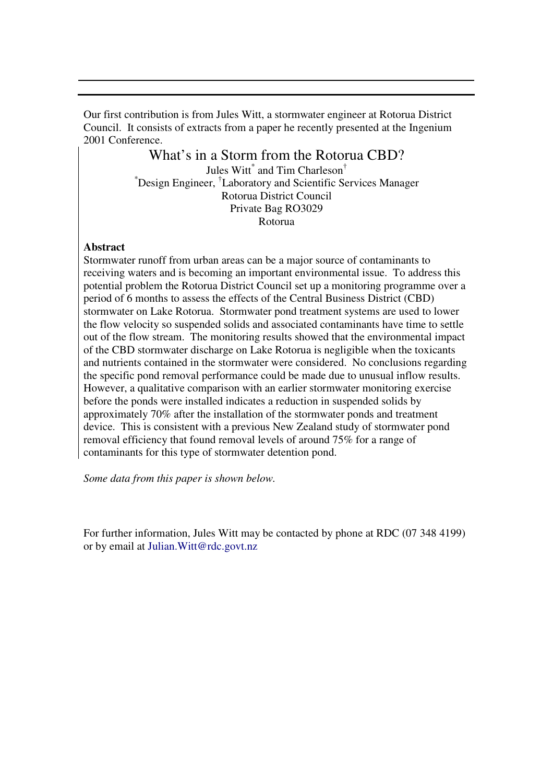Our first contribution is from Jules Witt, a stormwater engineer at Rotorua District Council. It consists of extracts from a paper he recently presented at the Ingenium 2001 Conference.

### What's in a Storm from the Rotorua CBD?

Jules Witt<sup>\*</sup> and Tim Charleson<sup>†</sup> \*Design Engineer, † Laboratory and Scientific Services Manager Rotorua District Council Private Bag RO3029 Rotorua

#### **Abstract**

Stormwater runoff from urban areas can be a major source of contaminants to receiving waters and is becoming an important environmental issue. To address this potential problem the Rotorua District Council set up a monitoring programme over a period of 6 months to assess the effects of the Central Business District (CBD) stormwater on Lake Rotorua. Stormwater pond treatment systems are used to lower the flow velocity so suspended solids and associated contaminants have time to settle out of the flow stream. The monitoring results showed that the environmental impact of the CBD stormwater discharge on Lake Rotorua is negligible when the toxicants and nutrients contained in the stormwater were considered. No conclusions regarding the specific pond removal performance could be made due to unusual inflow results. However, a qualitative comparison with an earlier stormwater monitoring exercise before the ponds were installed indicates a reduction in suspended solids by approximately 70% after the installation of the stormwater ponds and treatment device. This is consistent with a previous New Zealand study of stormwater pond removal efficiency that found removal levels of around 75% for a range of contaminants for this type of stormwater detention pond.

*Some data from this paper is shown below.*

For further information, Jules Witt may be contacted by phone at RDC (07 348 4199) or by email at Julian.Witt@rdc.govt.nz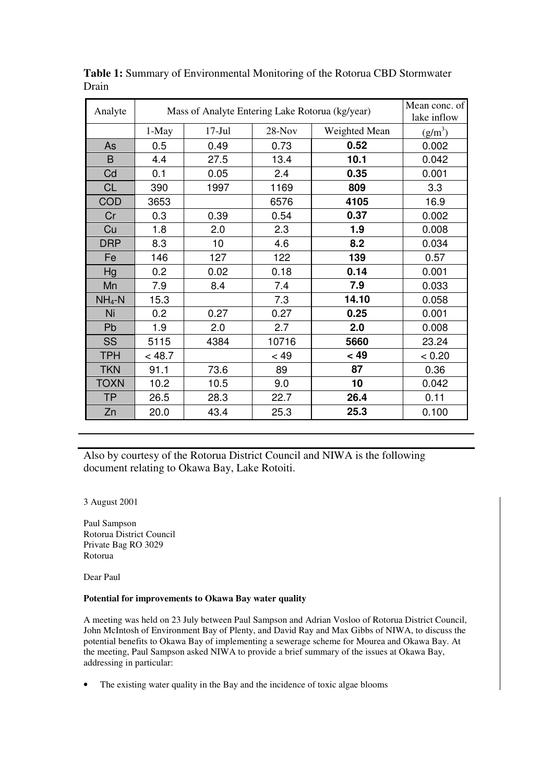| Analyte     | Mass of Analyte Entering Lake Rotorua (kg/year) | Mean conc. of<br>lake inflow |         |               |           |
|-------------|-------------------------------------------------|------------------------------|---------|---------------|-----------|
|             | 1-May                                           | $17-Jul$                     | 28-Nov  | Weighted Mean | $(g/m^3)$ |
| As          | 0.5                                             | 0.49                         | 0.73    | 0.52          | 0.002     |
| B           | 4.4                                             | 27.5                         | 13.4    | 10.1          | 0.042     |
| Cd          | 0.1                                             | 0.05                         | 2.4     | 0.35          | 0.001     |
| <b>CL</b>   | 390                                             | 1997                         | 1169    | 809           | 3.3       |
| <b>COD</b>  | 3653                                            |                              | 6576    | 4105          | 16.9      |
| Cr          | 0.3                                             | 0.39                         | 0.54    | 0.37          | 0.002     |
| Cu          | 1.8                                             | 2.0                          | 2.3     | 1.9           | 0.008     |
| <b>DRP</b>  | 8.3                                             | 10                           | 4.6     | 8.2           | 0.034     |
| Fe          | 146                                             | 127                          | 122     | 139           | 0.57      |
| Hg          | 0.2                                             | 0.02                         | 0.18    | 0.14          | 0.001     |
| Mn          | 7.9                                             | 8.4                          | 7.4     | 7.9           | 0.033     |
| $NH_4-N$    | 15.3                                            |                              | 7.3     | 14.10         | 0.058     |
| Ni          | 0.2                                             | 0.27                         | 0.27    | 0.25          | 0.001     |
| Pb          | 1.9                                             | 2.0                          | 2.7     | 2.0           | 0.008     |
| <b>SS</b>   | 5115                                            | 4384                         | 10716   | 5660          | 23.24     |
| <b>TPH</b>  | < 48.7                                          |                              | $~<$ 49 | < 49          | < 0.20    |
| <b>TKN</b>  | 91.1                                            | 73.6                         | 89      | 87            | 0.36      |
| <b>TOXN</b> | 10.2                                            | 10.5                         | 9.0     | 10            | 0.042     |
| <b>TP</b>   | 26.5                                            | 28.3                         | 22.7    | 26.4          | 0.11      |
| Zn          | 20.0                                            | 43.4                         | 25.3    | 25.3          | 0.100     |

**Table 1:** Summary of Environmental Monitoring of the Rotorua CBD Stormwater Drain

Also by courtesy of the Rotorua District Council and NIWA is the following document relating to Okawa Bay, Lake Rotoiti.

3 August 2001

Paul Sampson Rotorua District Council Private Bag RO 3029 Rotorua

Dear Paul

#### **Potential for improvements to Okawa Bay water quality**

A meeting was held on 23 July between Paul Sampson and Adrian Vosloo of Rotorua District Council, John McIntosh of Environment Bay of Plenty, and David Ray and Max Gibbs of NIWA, to discuss the potential benefits to Okawa Bay of implementing a sewerage scheme for Mourea and Okawa Bay. At the meeting, Paul Sampson asked NIWA to provide a brief summary of the issues at Okawa Bay, addressing in particular:

• The existing water quality in the Bay and the incidence of toxic algae blooms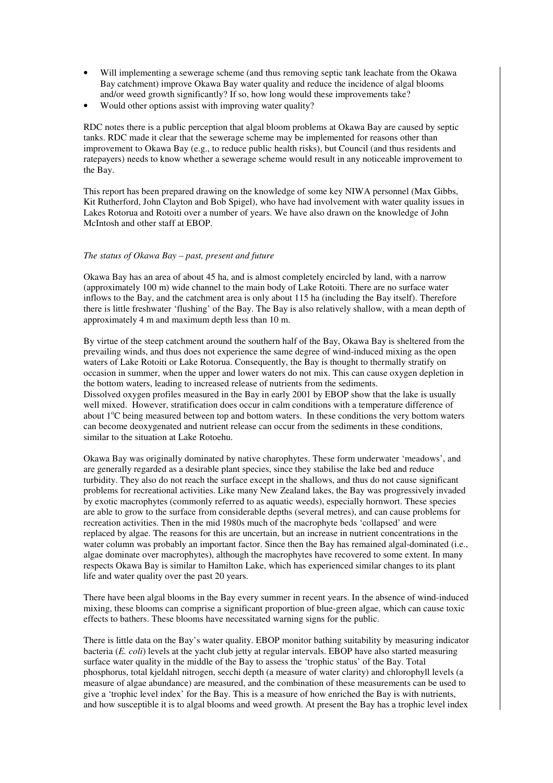- Will implementing a sewerage scheme (and thus removing septic tank leachate from the Okawa Bay catchment) improve Okawa Bay water quality and reduce the incidence of algal blooms and/or weed growth significantly? If so, how long would these improvements take?
- Would other options assist with improving water quality?

RDC notes there is a public perception that algal bloom problems at Okawa Bay are caused by septic tanks. RDC made it clear that the sewerage scheme may be implemented for reasons other than improvement to Okawa Bay (e.g., to reduce public health risks), but Council (and thus residents and ratepayers) needs to know whether a sewerage scheme would result in any noticeable improvement to the Bay.

This report has been prepared drawing on the knowledge of some key NIWA personnel (Max Gibbs, Kit Rutherford, John Clayton and Bob Spigel), who have had involvement with water quality issues in Lakes Rotorua and Rotoiti over a number of years. We have also drawn on the knowledge of John McIntosh and other staff at EBOP.

#### *The status of Okawa Bay – past, present and future*

Okawa Bay has an area of about 45 ha, and is almost completely encircled by land, with a narrow (approximately 100 m) wide channel to the main body of Lake Rotoiti. There are no surface water inflows to the Bay, and the catchment area is only about 115 ha (including the Bay itself). Therefore there is little freshwater 'flushing' of the Bay. The Bay is also relatively shallow, with a mean depth of approximately 4 m and maximum depth less than 10 m.

By virtue of the steep catchment around the southern half of the Bay, Okawa Bay is sheltered from the prevailing winds, and thus does not experience the same degree of wind-induced mixing as the open waters of Lake Rotoiti or Lake Rotorua. Consequently, the Bay is thought to thermally stratify on occasion in summer, when the upper and lower waters do not mix. This can cause oxygen depletion in the bottom waters, leading to increased release of nutrients from the sediments. Dissolved oxygen profiles measured in the Bay in early 2001 by EBOP show that the lake is usually well mixed. However, stratification does occur in calm conditions with a temperature difference of about 1°C being measured between top and bottom waters. In these conditions the very bottom waters can become deoxygenated and nutrient release can occur from the sediments in these conditions, similar to the situation at Lake Rotoehu.

Okawa Bay was originally dominated by native charophytes. These form underwater 'meadows', and are generally regarded as a desirable plant species, since they stabilise the lake bed and reduce turbidity. They also do not reach the surface except in the shallows, and thus do not cause significant problems for recreational activities. Like many New Zealand lakes, the Bay was progressively invaded by exotic macrophytes (commonly referred to as aquatic weeds), especially hornwort. These species are able to grow to the surface from considerable depths (several metres), and can cause problems for recreation activities. Then in the mid 1980s much of the macrophyte beds 'collapsed' and were replaced by algae. The reasons for this are uncertain, but an increase in nutrient concentrations in the water column was probably an important factor. Since then the Bay has remained algal-dominated (i.e., algae dominate over macrophytes), although the macrophytes have recovered to some extent. In many respects Okawa Bay is similar to Hamilton Lake, which has experienced similar changes to its plant life and water quality over the past 20 years.

There have been algal blooms in the Bay every summer in recent years. In the absence of wind-induced mixing, these blooms can comprise a significant proportion of blue-green algae, which can cause toxic effects to bathers. These blooms have necessitated warning signs for the public.

There is little data on the Bay's water quality. EBOP monitor bathing suitability by measuring indicator bacteria (*E. coli*) levels at the yacht club jetty at regular intervals. EBOP have also started measuring surface water quality in the middle of the Bay to assess the 'trophic status' of the Bay. Total phosphorus, total kjeldahl nitrogen, secchi depth (a measure of water clarity) and chlorophyll levels (a measure of algae abundance) are measured, and the combination of these measurements can be used to give a 'trophic level index' for the Bay. This is a measure of how enriched the Bay is with nutrients, and how susceptible it is to algal blooms and weed growth. At present the Bay has a trophic level index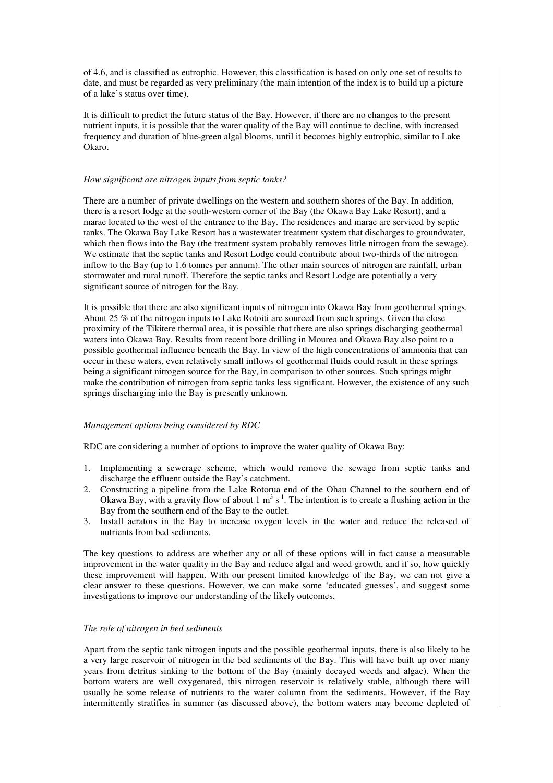of 4.6, and is classified as eutrophic. However, this classification is based on only one set of results to date, and must be regarded as very preliminary (the main intention of the index is to build up a picture of a lake's status over time).

It is difficult to predict the future status of the Bay. However, if there are no changes to the present nutrient inputs, it is possible that the water quality of the Bay will continue to decline, with increased frequency and duration of blue-green algal blooms, until it becomes highly eutrophic, similar to Lake Okaro.

#### *How significant are nitrogen inputs from septic tanks?*

There are a number of private dwellings on the western and southern shores of the Bay. In addition, there is a resort lodge at the south-western corner of the Bay (the Okawa Bay Lake Resort), and a marae located to the west of the entrance to the Bay. The residences and marae are serviced by septic tanks. The Okawa Bay Lake Resort has a wastewater treatment system that discharges to groundwater, which then flows into the Bay (the treatment system probably removes little nitrogen from the sewage). We estimate that the septic tanks and Resort Lodge could contribute about two-thirds of the nitrogen inflow to the Bay (up to 1.6 tonnes per annum). The other main sources of nitrogen are rainfall, urban stormwater and rural runoff. Therefore the septic tanks and Resort Lodge are potentially a very significant source of nitrogen for the Bay.

It is possible that there are also significant inputs of nitrogen into Okawa Bay from geothermal springs. About 25 % of the nitrogen inputs to Lake Rotoiti are sourced from such springs. Given the close proximity of the Tikitere thermal area, it is possible that there are also springs discharging geothermal waters into Okawa Bay. Results from recent bore drilling in Mourea and Okawa Bay also point to a possible geothermal influence beneath the Bay. In view of the high concentrations of ammonia that can occur in these waters, even relatively small inflows of geothermal fluids could result in these springs being a significant nitrogen source for the Bay, in comparison to other sources. Such springs might make the contribution of nitrogen from septic tanks less significant. However, the existence of any such springs discharging into the Bay is presently unknown.

#### *Management options being considered by RDC*

RDC are considering a number of options to improve the water quality of Okawa Bay:

- 1. Implementing a sewerage scheme, which would remove the sewage from septic tanks and discharge the effluent outside the Bay's catchment.
- 2. Constructing a pipeline from the Lake Rotorua end of the Ohau Channel to the southern end of Okawa Bay, with a gravity flow of about 1  $m^3 s^{-1}$ . The intention is to create a flushing action in the Bay from the southern end of the Bay to the outlet.
- 3. Install aerators in the Bay to increase oxygen levels in the water and reduce the released of nutrients from bed sediments.

The key questions to address are whether any or all of these options will in fact cause a measurable improvement in the water quality in the Bay and reduce algal and weed growth, and if so, how quickly these improvement will happen. With our present limited knowledge of the Bay, we can not give a clear answer to these questions. However, we can make some 'educated guesses', and suggest some investigations to improve our understanding of the likely outcomes.

#### *The role of nitrogen in bed sediments*

Apart from the septic tank nitrogen inputs and the possible geothermal inputs, there is also likely to be a very large reservoir of nitrogen in the bed sediments of the Bay. This will have built up over many years from detritus sinking to the bottom of the Bay (mainly decayed weeds and algae). When the bottom waters are well oxygenated, this nitrogen reservoir is relatively stable, although there will usually be some release of nutrients to the water column from the sediments. However, if the Bay intermittently stratifies in summer (as discussed above), the bottom waters may become depleted of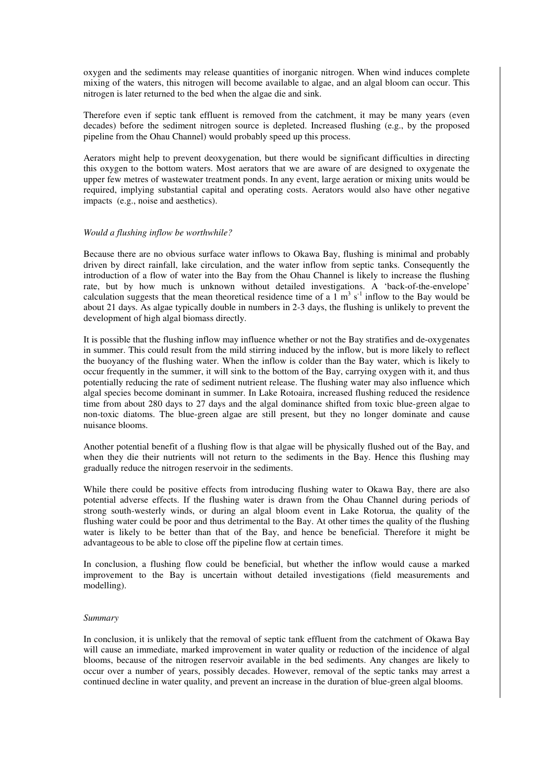oxygen and the sediments may release quantities of inorganic nitrogen. When wind induces complete mixing of the waters, this nitrogen will become available to algae, and an algal bloom can occur. This nitrogen is later returned to the bed when the algae die and sink.

Therefore even if septic tank effluent is removed from the catchment, it may be many years (even decades) before the sediment nitrogen source is depleted. Increased flushing (e.g., by the proposed pipeline from the Ohau Channel) would probably speed up this process.

Aerators might help to prevent deoxygenation, but there would be significant difficulties in directing this oxygen to the bottom waters. Most aerators that we are aware of are designed to oxygenate the upper few metres of wastewater treatment ponds. In any event, large aeration or mixing units would be required, implying substantial capital and operating costs. Aerators would also have other negative impacts (e.g., noise and aesthetics).

#### *Would a flushing inflow be worthwhile?*

Because there are no obvious surface water inflows to Okawa Bay, flushing is minimal and probably driven by direct rainfall, lake circulation, and the water inflow from septic tanks. Consequently the introduction of a flow of water into the Bay from the Ohau Channel is likely to increase the flushing rate, but by how much is unknown without detailed investigations. A 'back-of-the-envelope' calculation suggests that the mean theoretical residence time of a  $1 \text{ m}^3 \text{ s}^{-1}$  inflow to the Bay would be about 21 days. As algae typically double in numbers in 2-3 days, the flushing is unlikely to prevent the development of high algal biomass directly.

It is possible that the flushing inflow may influence whether or not the Bay stratifies and de-oxygenates in summer. This could result from the mild stirring induced by the inflow, but is more likely to reflect the buoyancy of the flushing water. When the inflow is colder than the Bay water, which is likely to occur frequently in the summer, it will sink to the bottom of the Bay, carrying oxygen with it, and thus potentially reducing the rate of sediment nutrient release. The flushing water may also influence which algal species become dominant in summer. In Lake Rotoaira, increased flushing reduced the residence time from about 280 days to 27 days and the algal dominance shifted from toxic blue-green algae to non-toxic diatoms. The blue-green algae are still present, but they no longer dominate and cause nuisance blooms.

Another potential benefit of a flushing flow is that algae will be physically flushed out of the Bay, and when they die their nutrients will not return to the sediments in the Bay. Hence this flushing may gradually reduce the nitrogen reservoir in the sediments.

While there could be positive effects from introducing flushing water to Okawa Bay, there are also potential adverse effects. If the flushing water is drawn from the Ohau Channel during periods of strong south-westerly winds, or during an algal bloom event in Lake Rotorua, the quality of the flushing water could be poor and thus detrimental to the Bay. At other times the quality of the flushing water is likely to be better than that of the Bay, and hence be beneficial. Therefore it might be advantageous to be able to close off the pipeline flow at certain times.

In conclusion, a flushing flow could be beneficial, but whether the inflow would cause a marked improvement to the Bay is uncertain without detailed investigations (field measurements and modelling).

#### *Summary*

In conclusion, it is unlikely that the removal of septic tank effluent from the catchment of Okawa Bay will cause an immediate, marked improvement in water quality or reduction of the incidence of algal blooms, because of the nitrogen reservoir available in the bed sediments. Any changes are likely to occur over a number of years, possibly decades. However, removal of the septic tanks may arrest a continued decline in water quality, and prevent an increase in the duration of blue-green algal blooms.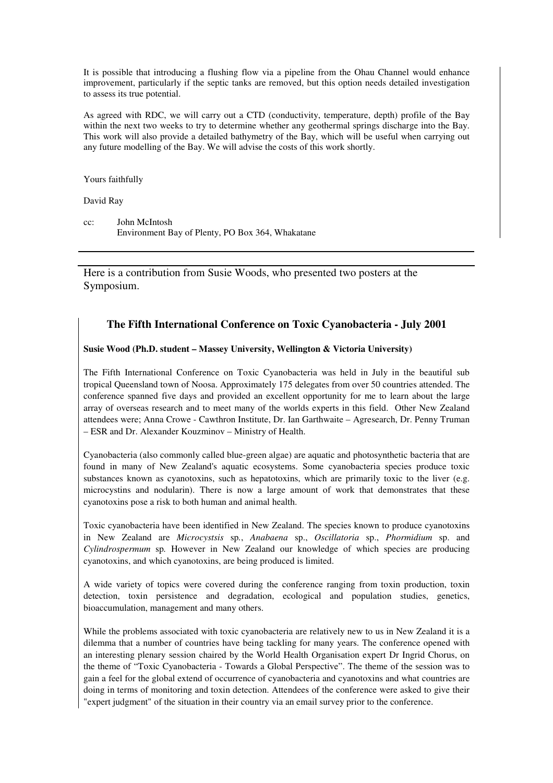It is possible that introducing a flushing flow via a pipeline from the Ohau Channel would enhance improvement, particularly if the septic tanks are removed, but this option needs detailed investigation to assess its true potential.

As agreed with RDC, we will carry out a CTD (conductivity, temperature, depth) profile of the Bay within the next two weeks to try to determine whether any geothermal springs discharge into the Bay. This work will also provide a detailed bathymetry of the Bay, which will be useful when carrying out any future modelling of the Bay. We will advise the costs of this work shortly.

Yours faithfully

David Ray

cc: John McIntosh Environment Bay of Plenty, PO Box 364, Whakatane

Here is a contribution from Susie Woods, who presented two posters at the Symposium.

#### **The Fifth International Conference on Toxic Cyanobacteria - July 2001**

#### **Susie Wood (Ph.D. student – Massey University, Wellington & Victoria University)**

The Fifth International Conference on Toxic Cyanobacteria was held in July in the beautiful sub tropical Queensland town of Noosa. Approximately 175 delegates from over 50 countries attended. The conference spanned five days and provided an excellent opportunity for me to learn about the large array of overseas research and to meet many of the worlds experts in this field. Other New Zealand attendees were; Anna Crowe - Cawthron Institute, Dr. Ian Garthwaite – Agresearch, Dr. Penny Truman – ESR and Dr. Alexander Kouzminov – Ministry of Health.

Cyanobacteria (also commonly called blue-green algae) are aquatic and photosynthetic bacteria that are found in many of New Zealand's aquatic ecosystems. Some cyanobacteria species produce toxic substances known as cyanotoxins, such as hepatotoxins, which are primarily toxic to the liver (e.g. microcystins and nodularin). There is now a large amount of work that demonstrates that these cyanotoxins pose a risk to both human and animal health.

Toxic cyanobacteria have been identified in New Zealand. The species known to produce cyanotoxins in New Zealand are *Microcystsis* sp*.*, *Anabaena* sp., *Oscillatoria* sp., *Phormidium* sp. and *Cylindrospermum* sp*.* However in New Zealand our knowledge of which species are producing cyanotoxins, and which cyanotoxins, are being produced is limited.

A wide variety of topics were covered during the conference ranging from toxin production, toxin detection, toxin persistence and degradation, ecological and population studies, genetics, bioaccumulation, management and many others.

While the problems associated with toxic cyanobacteria are relatively new to us in New Zealand it is a dilemma that a number of countries have being tackling for many years. The conference opened with an interesting plenary session chaired by the World Health Organisation expert Dr Ingrid Chorus, on the theme of "Toxic Cyanobacteria - Towards a Global Perspective". The theme of the session was to gain a feel for the global extend of occurrence of cyanobacteria and cyanotoxins and what countries are doing in terms of monitoring and toxin detection. Attendees of the conference were asked to give their "expert judgment" of the situation in their country via an email survey prior to the conference.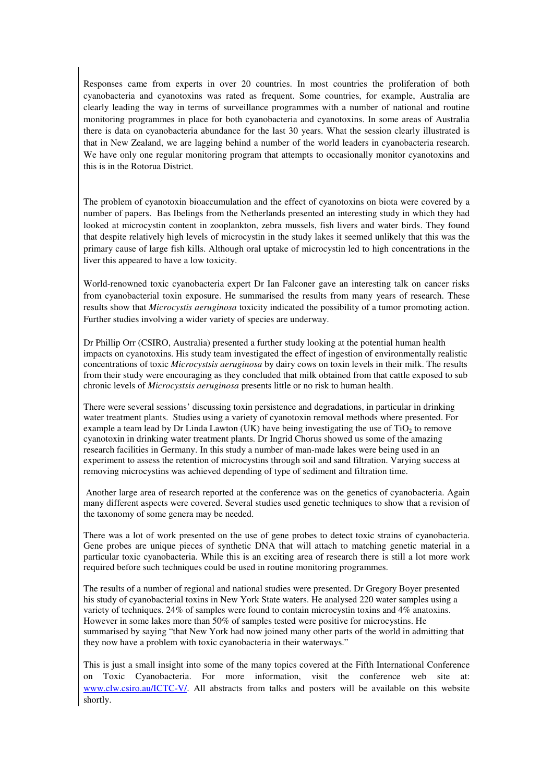Responses came from experts in over 20 countries. In most countries the proliferation of both cyanobacteria and cyanotoxins was rated as frequent. Some countries, for example, Australia are clearly leading the way in terms of surveillance programmes with a number of national and routine monitoring programmes in place for both cyanobacteria and cyanotoxins. In some areas of Australia there is data on cyanobacteria abundance for the last 30 years. What the session clearly illustrated is that in New Zealand, we are lagging behind a number of the world leaders in cyanobacteria research. We have only one regular monitoring program that attempts to occasionally monitor cyanotoxins and this is in the Rotorua District.

The problem of cyanotoxin bioaccumulation and the effect of cyanotoxins on biota were covered by a number of papers. Bas Ibelings from the Netherlands presented an interesting study in which they had looked at microcystin content in zooplankton, zebra mussels, fish livers and water birds. They found that despite relatively high levels of microcystin in the study lakes it seemed unlikely that this was the primary cause of large fish kills. Although oral uptake of microcystin led to high concentrations in the liver this appeared to have a low toxicity.

World-renowned toxic cyanobacteria expert Dr Ian Falconer gave an interesting talk on cancer risks from cyanobacterial toxin exposure. He summarised the results from many years of research. These results show that *Microcystis aeruginosa* toxicity indicated the possibility of a tumor promoting action. Further studies involving a wider variety of species are underway.

Dr Phillip Orr (CSIRO, Australia) presented a further study looking at the potential human health impacts on cyanotoxins. His study team investigated the effect of ingestion of environmentally realistic concentrations of toxic *Microcystsis aeruginosa* by dairy cows on toxin levels in their milk. The results from their study were encouraging as they concluded that milk obtained from that cattle exposed to sub chronic levels of *Microcystsis aeruginosa* presents little or no risk to human health.

There were several sessions' discussing toxin persistence and degradations, in particular in drinking water treatment plants. Studies using a variety of cyanotoxin removal methods where presented. For example a team lead by Dr Linda Lawton (UK) have being investigating the use of  $TiO<sub>2</sub>$  to remove cyanotoxin in drinking water treatment plants. Dr Ingrid Chorus showed us some of the amazing research facilities in Germany. In this study a number of man-made lakes were being used in an experiment to assess the retention of microcystins through soil and sand filtration. Varying success at removing microcystins was achieved depending of type of sediment and filtration time.

Another large area of research reported at the conference was on the genetics of cyanobacteria. Again many different aspects were covered. Several studies used genetic techniques to show that a revision of the taxonomy of some genera may be needed.

There was a lot of work presented on the use of gene probes to detect toxic strains of cyanobacteria. Gene probes are unique pieces of synthetic DNA that will attach to matching genetic material in a particular toxic cyanobacteria. While this is an exciting area of research there is still a lot more work required before such techniques could be used in routine monitoring programmes.

The results of a number of regional and national studies were presented. Dr Gregory Boyer presented his study of cyanobacterial toxins in New York State waters. He analysed 220 water samples using a variety of techniques. 24% of samples were found to contain microcystin toxins and 4% anatoxins. However in some lakes more than 50% of samples tested were positive for microcystins. He summarised by saying "that New York had now joined many other parts of the world in admitting that they now have a problem with toxic cyanobacteria in their waterways."

This is just a small insight into some of the many topics covered at the Fifth International Conference on Toxic Cyanobacteria. For more information, visit the conference web site at: www.clw.csiro.au/ICTC-V/. All abstracts from talks and posters will be available on this website shortly.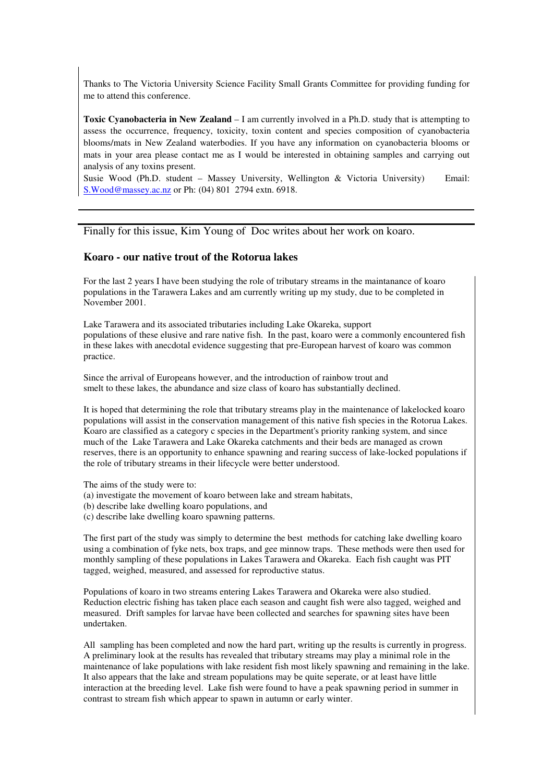Thanks to The Victoria University Science Facility Small Grants Committee for providing funding for me to attend this conference.

**Toxic Cyanobacteria in New Zealand** – I am currently involved in a Ph.D. study that is attempting to assess the occurrence, frequency, toxicity, toxin content and species composition of cyanobacteria blooms/mats in New Zealand waterbodies. If you have any information on cyanobacteria blooms or mats in your area please contact me as I would be interested in obtaining samples and carrying out analysis of any toxins present.

Susie Wood (Ph.D. student – Massey University, Wellington & Victoria University) Email: S.Wood@massey.ac.nz or Ph: (04) 801 2794 extn. 6918.

Finally for this issue, Kim Young of Doc writes about her work on koaro.

#### **Koaro - our native trout of the Rotorua lakes**

For the last 2 years I have been studying the role of tributary streams in the maintanance of koaro populations in the Tarawera Lakes and am currently writing up my study, due to be completed in November 2001.

Lake Tarawera and its associated tributaries including Lake Okareka, support populations of these elusive and rare native fish. In the past, koaro were a commonly encountered fish in these lakes with anecdotal evidence suggesting that pre-European harvest of koaro was common practice.

Since the arrival of Europeans however, and the introduction of rainbow trout and smelt to these lakes, the abundance and size class of koaro has substantially declined.

It is hoped that determining the role that tributary streams play in the maintenance of lakelocked koaro populations will assist in the conservation management of this native fish species in the Rotorua Lakes. Koaro are classified as a category c species in the Department's priority ranking system, and since much of the Lake Tarawera and Lake Okareka catchments and their beds are managed as crown reserves, there is an opportunity to enhance spawning and rearing success of lake-locked populations if the role of tributary streams in their lifecycle were better understood.

The aims of the study were to:

- (a) investigate the movement of koaro between lake and stream habitats,
- (b) describe lake dwelling koaro populations, and
- (c) describe lake dwelling koaro spawning patterns.

The first part of the study was simply to determine the best methods for catching lake dwelling koaro using a combination of fyke nets, box traps, and gee minnow traps. These methods were then used for monthly sampling of these populations in Lakes Tarawera and Okareka. Each fish caught was PIT tagged, weighed, measured, and assessed for reproductive status.

Populations of koaro in two streams entering Lakes Tarawera and Okareka were also studied. Reduction electric fishing has taken place each season and caught fish were also tagged, weighed and measured. Drift samples for larvae have been collected and searches for spawning sites have been undertaken.

All sampling has been completed and now the hard part, writing up the results is currently in progress. A preliminary look at the results has revealed that tributary streams may play a minimal role in the maintenance of lake populations with lake resident fish most likely spawning and remaining in the lake. It also appears that the lake and stream populations may be quite seperate, or at least have little interaction at the breeding level. Lake fish were found to have a peak spawning period in summer in contrast to stream fish which appear to spawn in autumn or early winter.